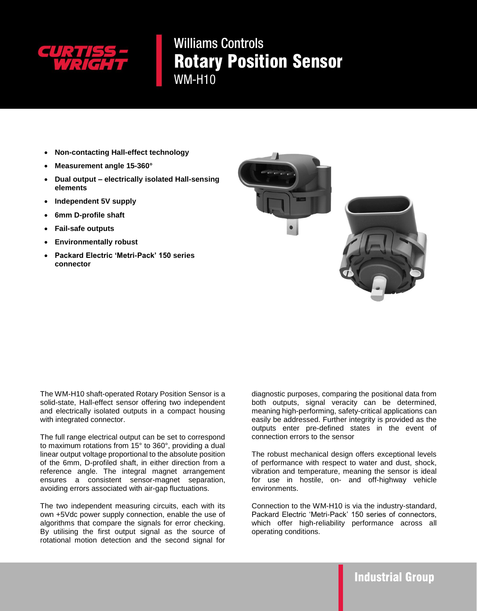

**Williams Controls** Rotary Position Sensor **WM-H10** 

- **Non-contacting Hall-effect technology**
- **Measurement angle 15-360°**
- **Dual output – electrically isolated Hall-sensing elements**
- **Independent 5V supply**
- **6mm D-profile shaft**
- **Fail-safe outputs**
- **Environmentally robust**
- **Packard Electric 'Metri-Pack' 150 series connector**



The WM-H10 shaft-operated Rotary Position Sensor is a solid-state, Hall-effect sensor offering two independent and electrically isolated outputs in a compact housing with integrated connector.

The full range electrical output can be set to correspond to maximum rotations from 15° to 360°, providing a dual linear output voltage proportional to the absolute position of the 6mm, D-profiled shaft, in either direction from a reference angle. The integral magnet arrangement ensures a consistent sensor-magnet separation, avoiding errors associated with air-gap fluctuations.

The two independent measuring circuits, each with its own +5Vdc power supply connection, enable the use of algorithms that compare the signals for error checking. By utilising the first output signal as the source of rotational motion detection and the second signal for

diagnostic purposes, comparing the positional data from both outputs, signal veracity can be determined, meaning high-performing, safety-critical applications can easily be addressed. Further integrity is provided as the outputs enter pre-defined states in the event of connection errors to the sensor

The robust mechanical design offers exceptional levels of performance with respect to water and dust, shock, vibration and temperature, meaning the sensor is ideal for use in hostile, on- and off-highway vehicle environments.

Connection to the WM-H10 is via the industry-standard, Packard Electric 'Metri-Pack' 150 series of connectors, which offer high-reliability performance across all operating conditions.